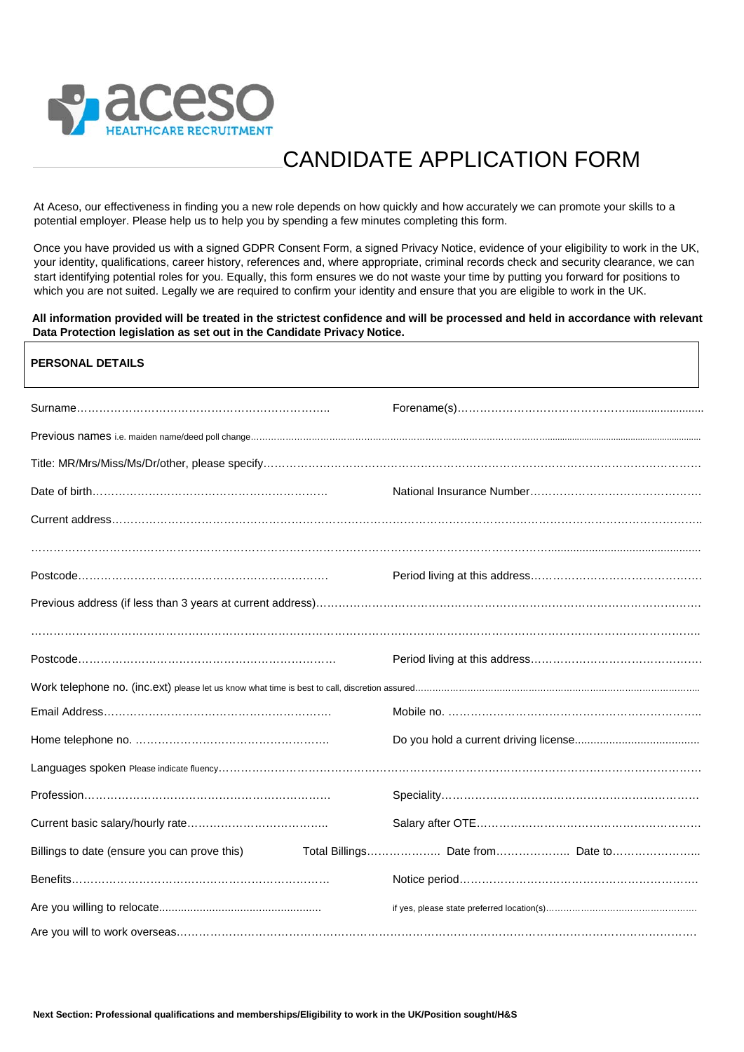

# CANDIDATE APPLICATION FORM

At Aceso, our effectiveness in finding you a new role depends on how quickly and how accurately we can promote your skills to a potential employer. Please help us to help you by spending a few minutes completing this form.

Once you have provided us with a signed GDPR Consent Form, a signed Privacy Notice, evidence of your eligibility to work in the UK, your identity, qualifications, career history, references and, where appropriate, criminal records check and security clearance, we can start identifying potential roles for you. Equally, this form ensures we do not waste your time by putting you forward for positions to which you are not suited. Legally we are required to confirm your identity and ensure that you are eligible to work in the UK.

#### **All information provided will be treated in the strictest confidence and will be processed and held in accordance with relevant Data Protection legislation as set out in the Candidate Privacy Notice.**

| <b>PERSONAL DETAILS</b>                      |                                  |
|----------------------------------------------|----------------------------------|
|                                              |                                  |
|                                              |                                  |
|                                              |                                  |
|                                              |                                  |
|                                              |                                  |
|                                              |                                  |
|                                              |                                  |
|                                              |                                  |
|                                              |                                  |
|                                              |                                  |
|                                              |                                  |
|                                              |                                  |
|                                              |                                  |
|                                              |                                  |
|                                              |                                  |
|                                              |                                  |
| Billings to date (ensure you can prove this) | Total Billings Date from Date to |
|                                              |                                  |
|                                              |                                  |
|                                              |                                  |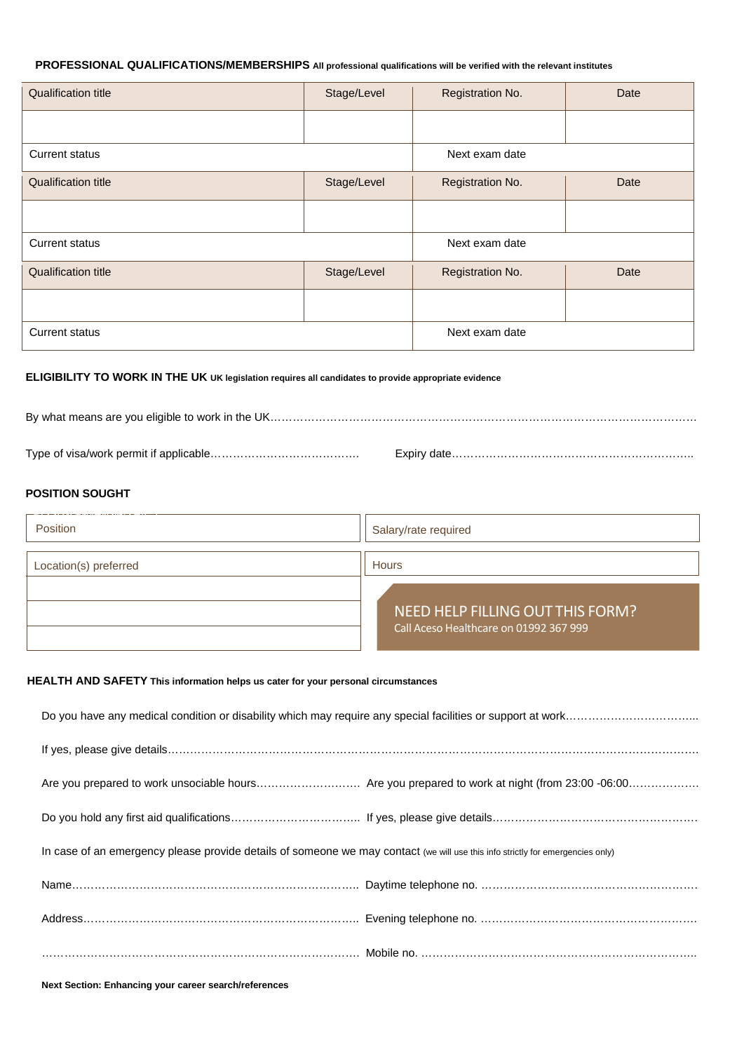## **PROFESSIONAL QUALIFICATIONS/MEMBERSHIPS All professional qualifications will be verified with the relevant institutes**

| <b>Qualification title</b> | Stage/Level | Registration No. | Date |
|----------------------------|-------------|------------------|------|
|                            |             |                  |      |
| Current status             |             | Next exam date   |      |
| <b>Qualification title</b> | Stage/Level | Registration No. | Date |
|                            |             |                  |      |
| Current status             |             | Next exam date   |      |
| <b>Qualification title</b> | Stage/Level | Registration No. | Date |
|                            |             |                  |      |
| <b>Current status</b>      |             | Next exam date   |      |

# **ELIGIBILITY TO WORK IN THE UK UK legislation requires all candidates to provide appropriate evidence**

## **POSITION SOUGHT**

| Position              | Salary/rate required                                                       |  |
|-----------------------|----------------------------------------------------------------------------|--|
| Location(s) preferred | <b>Hours</b>                                                               |  |
|                       | NEED HELP FILLING OUT THIS FORM?<br>Call Aceso Healthcare on 01992 367 999 |  |

#### **HEALTH AND SAFETY This information helps us cater for your personal circumstances**

| In case of an emergency please provide details of someone we may contact (we will use this info strictly for emergencies only) |  |  |
|--------------------------------------------------------------------------------------------------------------------------------|--|--|
|                                                                                                                                |  |  |
|                                                                                                                                |  |  |
|                                                                                                                                |  |  |

**Next Section: Enhancing your career search/references**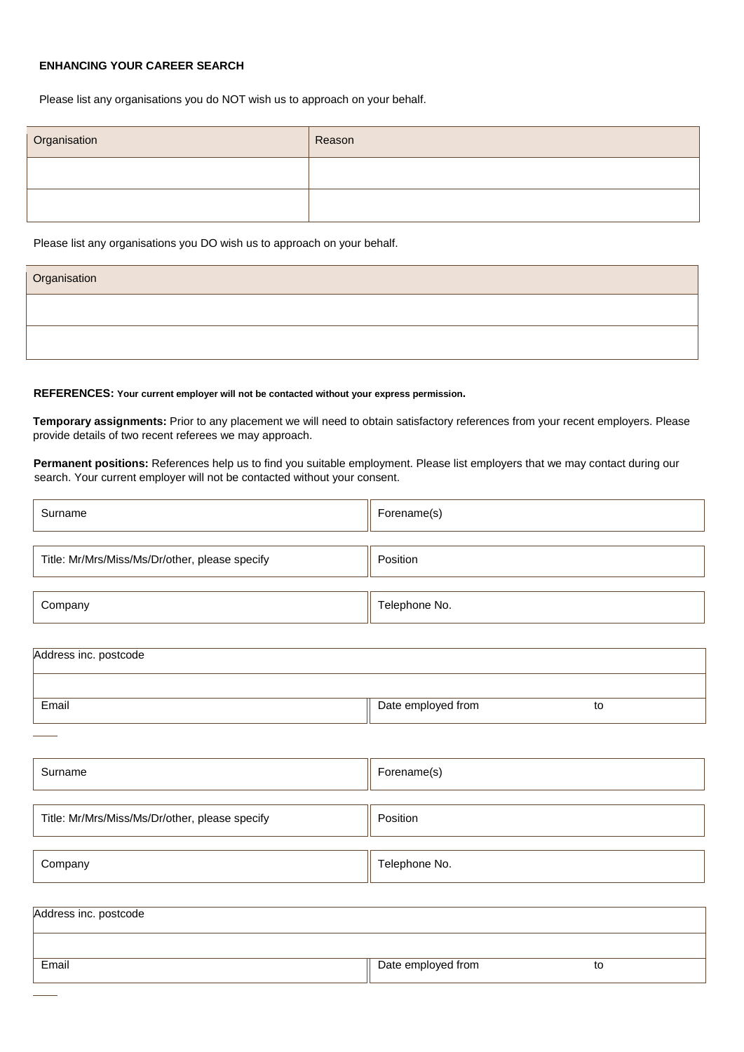# **ENHANCING YOUR CAREER SEARCH**

Please list any organisations you do NOT wish us to approach on your behalf.

| Organisation | Reason |
|--------------|--------|
|              |        |
|              |        |

Please list any organisations you DO wish us to approach on your behalf.

| Organisation |  |
|--------------|--|
|              |  |
|              |  |

#### **REFERENCES: Your current employer will not be contacted without your express permission.**

Title: Mr/Mrs/Miss/Ms/Dr/other, please specify | Position

**Temporary assignments:** Prior to any placement we will need to obtain satisfactory references from your recent employers. Please provide details of two recent referees we may approach.

**Permanent positions:** References help us to find you suitable employment. Please list employers that we may contact during our search. Your current employer will not be contacted without your consent.

| Surname                                        | Forename(s)              |  |  |
|------------------------------------------------|--------------------------|--|--|
| Title: Mr/Mrs/Miss/Ms/Dr/other, please specify | Position                 |  |  |
| Company                                        | Telephone No.            |  |  |
| Address inc. postcode                          |                          |  |  |
| Email                                          | Date employed from<br>to |  |  |
|                                                |                          |  |  |
| Surname                                        | Forename(s)              |  |  |
|                                                |                          |  |  |

| Company | Telephone No. |
|---------|---------------|

| Address inc. postcode |                    |    |
|-----------------------|--------------------|----|
|                       |                    |    |
| Email                 | Date employed from | to |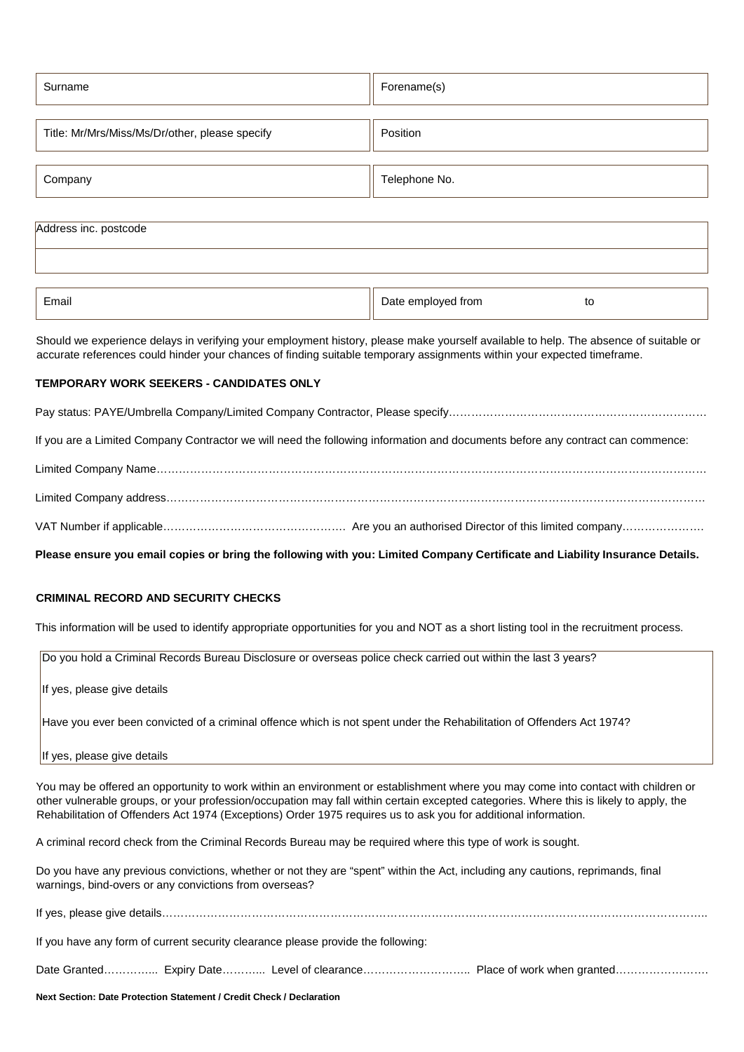| Surname                                        | Forename(s)   |  |
|------------------------------------------------|---------------|--|
| Title: Mr/Mrs/Miss/Ms/Dr/other, please specify | Position      |  |
| Company                                        | Telephone No. |  |
| Address inc. postcode                          |               |  |

| Email | Date employed from | to<br>$\sim$ $\sim$ |
|-------|--------------------|---------------------|
|       |                    |                     |

Should we experience delays in verifying your employment history, please make yourself available to help. The absence of suitable or accurate references could hinder your chances of finding suitable temporary assignments within your expected timeframe.

#### **TEMPORARY WORK SEEKERS - CANDIDATES ONLY**

Pay status: PAYE/Umbrella Company/Limited Company Contractor, Please specify……………………………………………………………

If you are a Limited Company Contractor we will need the following information and documents before any contract can commence:

**Please ensure you email copies or bring the following with you: Limited Company Certificate and Liability Insurance Details.**

# **CRIMINAL RECORD AND SECURITY CHECKS**

This information will be used to identify appropriate opportunities for you and NOT as a short listing tool in the recruitment process.

Do you hold a Criminal Records Bureau Disclosure or overseas police check carried out within the last 3 years?

If yes, please give details

Have you ever been convicted of a criminal offence which is not spent under the Rehabilitation of Offenders Act 1974?

If yes, please give details

You may be offered an opportunity to work within an environment or establishment where you may come into contact with children or other vulnerable groups, or your profession/occupation may fall within certain excepted categories. Where this is likely to apply, the Rehabilitation of Offenders Act 1974 (Exceptions) Order 1975 requires us to ask you for additional information.

A criminal record check from the Criminal Records Bureau may be required where this type of work is sought.

Do you have any previous convictions, whether or not they are "spent" within the Act, including any cautions, reprimands, final warnings, bind-overs or any convictions from overseas?

If yes, please give details……………………………………………………………………………………………………………………………….. If you have any form of current security clearance please provide the following: Date Granted……………. Expiry Date…………. Level of clearance……………………………. Place of work when granted………………………

**Next Section: Date Protection Statement / Credit Check / Declaration**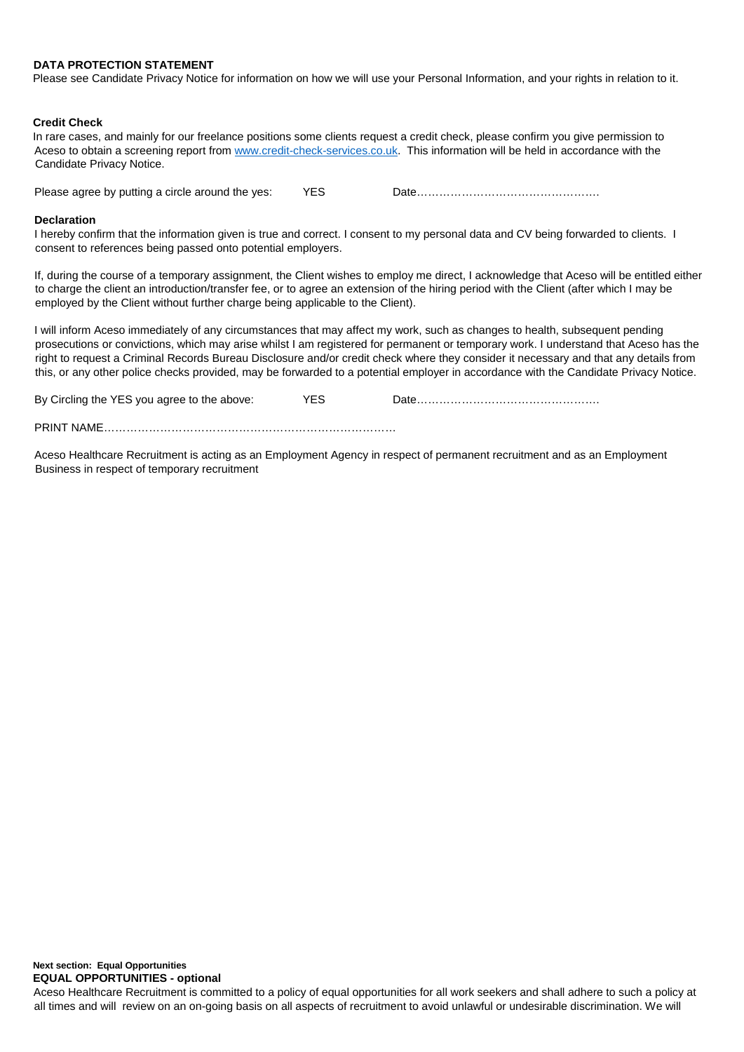#### **DATA PROTECTION STATEMENT**

Please see Candidate Privacy Notice for information on how we will use your Personal Information, and your rights in relation to it.

#### **Credit Check**

In rare cases, and mainly for our freelance positions some clients request a credit check, please confirm you give permission to Aceso to obtain a screening report from [www.credit-check-services.co.uk.](http://www.credit-check-services.co.uk/) This information will be held in accordance with the Candidate Privacy Notice.

Please agree by putting a circle around the yes: YES Date……………………………………………………………

#### **Declaration**

I hereby confirm that the information given is true and correct. I consent to my personal data and CV being forwarded to clients. I consent to references being passed onto potential employers.

If, during the course of a temporary assignment, the Client wishes to employ me direct, I acknowledge that Aceso will be entitled either to charge the client an introduction/transfer fee, or to agree an extension of the hiring period with the Client (after which I may be employed by the Client without further charge being applicable to the Client).

I will inform Aceso immediately of any circumstances that may affect my work, such as changes to health, subsequent pending prosecutions or convictions, which may arise whilst I am registered for permanent or temporary work. I understand that Aceso has the right to request a Criminal Records Bureau Disclosure and/or credit check where they consider it necessary and that any details from this, or any other police checks provided, may be forwarded to a potential employer in accordance with the Candidate Privacy Notice.

| By Circling the YES you agree to the above: | YFS |  |
|---------------------------------------------|-----|--|
| <b>PRINT NAME</b>                           |     |  |

Aceso Healthcare Recruitment is acting as an Employment Agency in respect of permanent recruitment and as an Employment

Business in respect of temporary recruitment